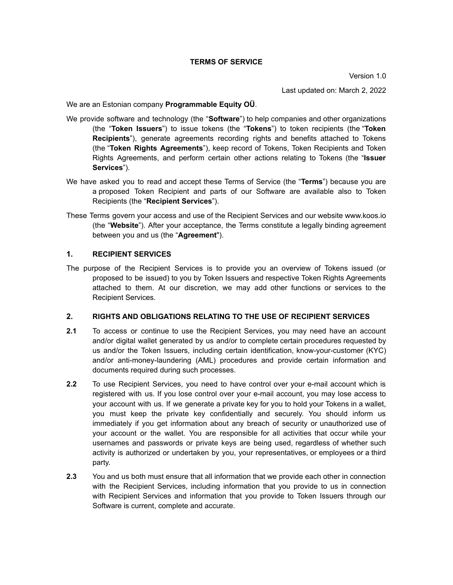Last updated on: March 2, 2022

We are an Estonian company **Programmable Equity OÜ**.

- We provide software and technology (the "**Software**") to help companies and other organizations (the "**Token Issuers**") to issue tokens (the "**Tokens**") to token recipients (the "**Token Recipients**"), generate agreements recording rights and benefits attached to Tokens (the "**Token Rights Agreements**"), keep record of Tokens, Token Recipients and Token Rights Agreements, and perform certain other actions relating to Tokens (the "**Issuer Services**").
- We have asked you to read and accept these Terms of Service (the "**Terms**") because you are a proposed Token Recipient and parts of our Software are available also to Token Recipients (the "**Recipient Services**").
- These Terms govern your access and use of the Recipient Services and our website [www.koos.io](http://www.koos.io) (the "**Website**"). After your acceptance, the Terms constitute a legally binding agreement between you and us (the "**Agreement**").

### **1. RECIPIENT SERVICES**

The purpose of the Recipient Services is to provide you an overview of Tokens issued (or proposed to be issued) to you by Token Issuers and respective Token Rights Agreements attached to them. At our discretion, we may add other functions or services to the Recipient Services.

### **2. RIGHTS AND OBLIGATIONS RELATING TO THE USE OF RECIPIENT SERVICES**

- **2.1** To access or continue to use the Recipient Services, you may need have an account and/or digital wallet generated by us and/or to complete certain procedures requested by us and/or the Token Issuers, including certain identification, know-your-customer (KYC) and/or anti-money-laundering (AML) procedures and provide certain information and documents required during such processes.
- **2.2** To use Recipient Services, you need to have control over your e-mail account which is registered with us. If you lose control over your e-mail account, you may lose access to your account with us. If we generate a private key for you to hold your Tokens in a wallet, you must keep the private key confidentially and securely. You should inform us immediately if you get information about any breach of security or unauthorized use of your account or the wallet. You are responsible for all activities that occur while your usernames and passwords or private keys are being used, regardless of whether such activity is authorized or undertaken by you, your representatives, or employees or a third party.
- **2.3** You and us both must ensure that all information that we provide each other in connection with the Recipient Services, including information that you provide to us in connection with Recipient Services and information that you provide to Token Issuers through our Software is current, complete and accurate.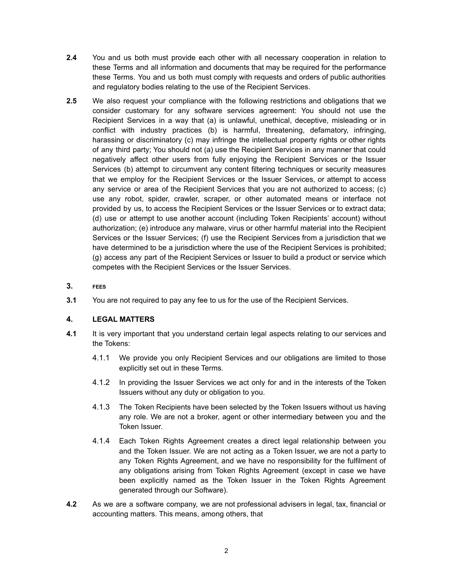- **2.4** You and us both must provide each other with all necessary cooperation in relation to these Terms and all information and documents that may be required for the performance these Terms. You and us both must comply with requests and orders of public authorities and regulatory bodies relating to the use of the Recipient Services.
- **2.5** We also request your compliance with the following restrictions and obligations that we consider customary for any software services agreement: You should not use the Recipient Services in a way that (a) is unlawful, unethical, deceptive, misleading or in conflict with industry practices (b) is harmful, threatening, defamatory, infringing, harassing or discriminatory (c) may infringe the intellectual property rights or other rights of any third party; You should not (a) use the Recipient Services in any manner that could negatively affect other users from fully enjoying the Recipient Services or the Issuer Services (b) attempt to circumvent any content filtering techniques or security measures that we employ for the Recipient Services or the Issuer Services, or attempt to access any service or area of the Recipient Services that you are not authorized to access; (c) use any robot, spider, crawler, scraper, or other automated means or interface not provided by us, to access the Recipient Services or the Issuer Services or to extract data; (d) use or attempt to use another account (including Token Recipients' account) without authorization; (e) introduce any malware, virus or other harmful material into the Recipient Services or the Issuer Services; (f) use the Recipient Services from a jurisdiction that we have determined to be a jurisdiction where the use of the Recipient Services is prohibited; (g) access any part of the Recipient Services or Issuer to build a product or service which competes with the Recipient Services or the Issuer Services.
- **3. FEES**
- **3.1** You are not required to pay any fee to us for the use of the Recipient Services.

# **4. LEGAL MATTERS**

- **4.1** It is very important that you understand certain legal aspects relating to our services and the Tokens:
	- 4.1.1 We provide you only Recipient Services and our obligations are limited to those explicitly set out in these Terms.
	- 4.1.2 In providing the Issuer Services we act only for and in the interests of the Token Issuers without any duty or obligation to you.
	- 4.1.3 The Token Recipients have been selected by the Token Issuers without us having any role. We are not a broker, agent or other intermediary between you and the Token Issuer.
	- 4.1.4 Each Token Rights Agreement creates a direct legal relationship between you and the Token Issuer. We are not acting as a Token Issuer, we are not a party to any Token Rights Agreement, and we have no responsibility for the fulfilment of any obligations arising from Token Rights Agreement (except in case we have been explicitly named as the Token Issuer in the Token Rights Agreement generated through our Software).
- **4.2** As we are a software company, we are not professional advisers in legal, tax, financial or accounting matters. This means, among others, that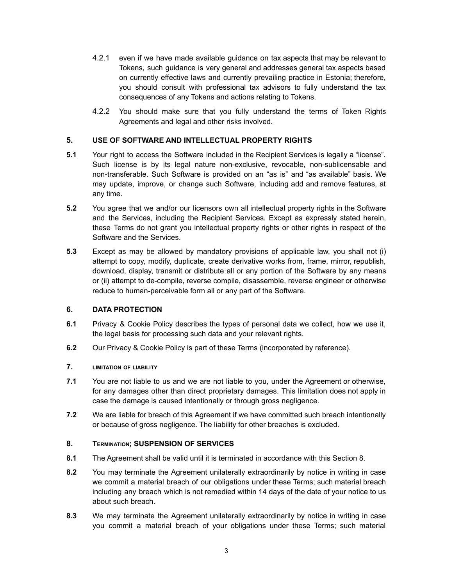- 4.2.1 even if we have made available guidance on tax aspects that may be relevant to Tokens, such guidance is very general and addresses general tax aspects based on currently effective laws and currently prevailing practice in Estonia; therefore, you should consult with professional tax advisors to fully understand the tax consequences of any Tokens and actions relating to Tokens.
- 4.2.2 You should make sure that you fully understand the terms of Token Rights Agreements and legal and other risks involved.

## **5. USE OF SOFTWARE AND INTELLECTUAL PROPERTY RIGHTS**

- **5.1** Your right to access the Software included in the Recipient Services is legally a "license". Such license is by its legal nature non-exclusive, revocable, non-sublicensable and non-transferable. Such Software is provided on an "as is" and "as available" basis. We may update, improve, or change such Software, including add and remove features, at any time.
- **5.2** You agree that we and/or our licensors own all intellectual property rights in the Software and the Services, including the Recipient Services. Except as expressly stated herein, these Terms do not grant you intellectual property rights or other rights in respect of the Software and the Services.
- **5.3** Except as may be allowed by mandatory provisions of applicable law, you shall not (i) attempt to copy, modify, duplicate, create derivative works from, frame, mirror, republish, download, display, transmit or distribute all or any portion of the Software by any means or (ii) attempt to de-compile, reverse compile, disassemble, reverse engineer or otherwise reduce to human-perceivable form all or any part of the Software.

## **6. DATA PROTECTION**

- **6.1** Privacy & Cookie Policy describes the types of personal data we collect, how we use it, the legal basis for processing such data and your relevant rights.
- **6.2** Our Privacy & Cookie Policy is part of these Terms (incorporated by reference).

# **7. LIMITATION OF LIABILITY**

- **7.1** You are not liable to us and we are not liable to you, under the Agreement or otherwise, for any damages other than direct proprietary damages. This limitation does not apply in case the damage is caused intentionally or through gross negligence.
- **7.2** We are liable for breach of this Agreement if we have committed such breach intentionally or because of gross negligence. The liability for other breaches is excluded.

### **8. TERMINATION; SUSPENSION OF SERVICES**

- **8.1** The Agreement shall be valid until it is terminated in accordance with this Section 8.
- **8.2** You may terminate the Agreement unilaterally extraordinarily by notice in writing in case we commit a material breach of our obligations under these Terms; such material breach including any breach which is not remedied within 14 days of the date of your notice to us about such breach.
- **8.3** We may terminate the Agreement unilaterally extraordinarily by notice in writing in case you commit a material breach of your obligations under these Terms; such material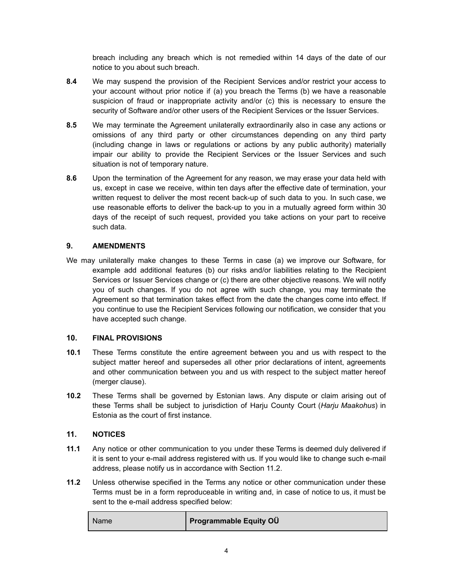breach including any breach which is not remedied within 14 days of the date of our notice to you about such breach.

- **8.4** We may suspend the provision of the Recipient Services and/or restrict your access to your account without prior notice if (a) you breach the Terms (b) we have a reasonable suspicion of fraud or inappropriate activity and/or (c) this is necessary to ensure the security of Software and/or other users of the Recipient Services or the Issuer Services.
- **8.5** We may terminate the Agreement unilaterally extraordinarily also in case any actions or omissions of any third party or other circumstances depending on any third party (including change in laws or regulations or actions by any public authority) materially impair our ability to provide the Recipient Services or the Issuer Services and such situation is not of temporary nature.
- **8.6** Upon the termination of the Agreement for any reason, we may erase your data held with us, except in case we receive, within ten days after the effective date of termination, your written request to deliver the most recent back-up of such data to you. In such case, we use reasonable efforts to deliver the back-up to you in a mutually agreed form within 30 days of the receipt of such request, provided you take actions on your part to receive such data.

# **9. AMENDMENTS**

We may unilaterally make changes to these Terms in case (a) we improve our Software, for example add additional features (b) our risks and/or liabilities relating to the Recipient Services or Issuer Services change or (c) there are other objective reasons. We will notify you of such changes. If you do not agree with such change, you may terminate the Agreement so that termination takes effect from the date the changes come into effect. If you continue to use the Recipient Services following our notification, we consider that you have accepted such change.

### **10. FINAL PROVISIONS**

- **10.1** These Terms constitute the entire agreement between you and us with respect to the subject matter hereof and supersedes all other prior declarations of intent, agreements and other communication between you and us with respect to the subject matter hereof (merger clause).
- **10.2** These Terms shall be governed by Estonian laws. Any dispute or claim arising out of these Terms shall be subject to jurisdiction of Harju County Court (*Harju Maakohus*) in Estonia as the court of first instance.

# **11. NOTICES**

- **11.1** Any notice or other communication to you under these Terms is deemed duly delivered if it is sent to your e-mail address registered with us. If you would like to change such e-mail address, please notify us in accordance with Section 11.2.
- **11.2** Unless otherwise specified in the Terms any notice or other communication under these Terms must be in a form reproduceable in writing and, in case of notice to us, it must be sent to the e-mail address specified below:

| Name <sup>®</sup> | <b>Programmable Equity OU</b> |
|-------------------|-------------------------------|
|                   |                               |